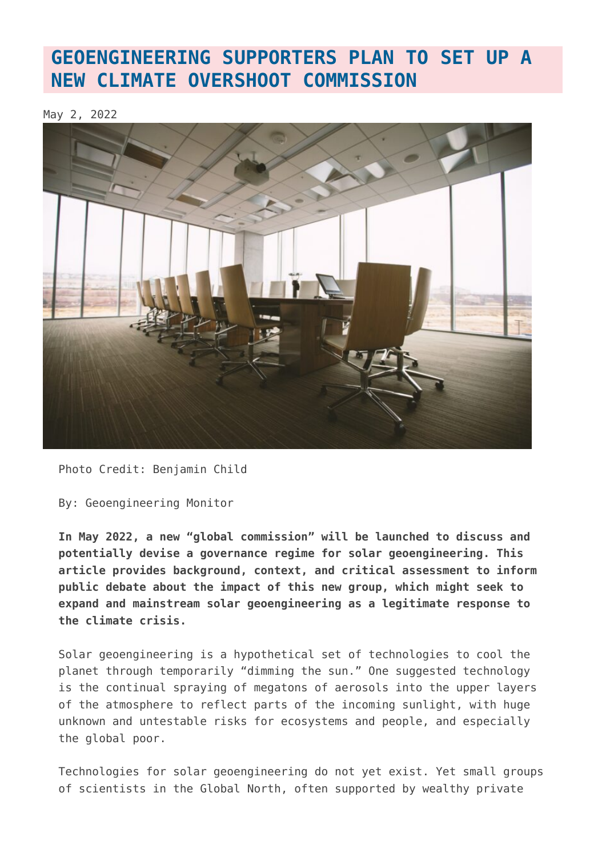#### **[GEOENGINEERING SUPPORTERS PLAN TO SET UP A](https://www.geoengineeringmonitor.org/2022/05/geoengineering-supporters-plan-to-set-up-a-new-climate-overshoot-commission/) [NEW CLIMATE OVERSHOOT COMMISSION](https://www.geoengineeringmonitor.org/2022/05/geoengineering-supporters-plan-to-set-up-a-new-climate-overshoot-commission/)**

May 2, 2022



Photo Credit: Benjamin Child

By: Geoengineering Monitor

**In May 2022, a new "global commission" will be launched to discuss and potentially devise a governance regime for solar geoengineering. This article provides background, context, and critical assessment to inform public debate about the impact of this new group, which might seek to expand and mainstream solar geoengineering as a legitimate response to the climate crisis.**

Solar geoengineering is a hypothetical set of technologies to cool the planet through temporarily "dimming the sun." One suggested technology is the continual spraying of megatons of aerosols into the upper layers of the atmosphere to reflect parts of the incoming sunlight, with huge unknown and untestable risks for ecosystems and people, and especially the global poor.

Technologies for solar geoengineering do not yet exist. Yet small groups of scientists in the Global North, often supported by wealthy private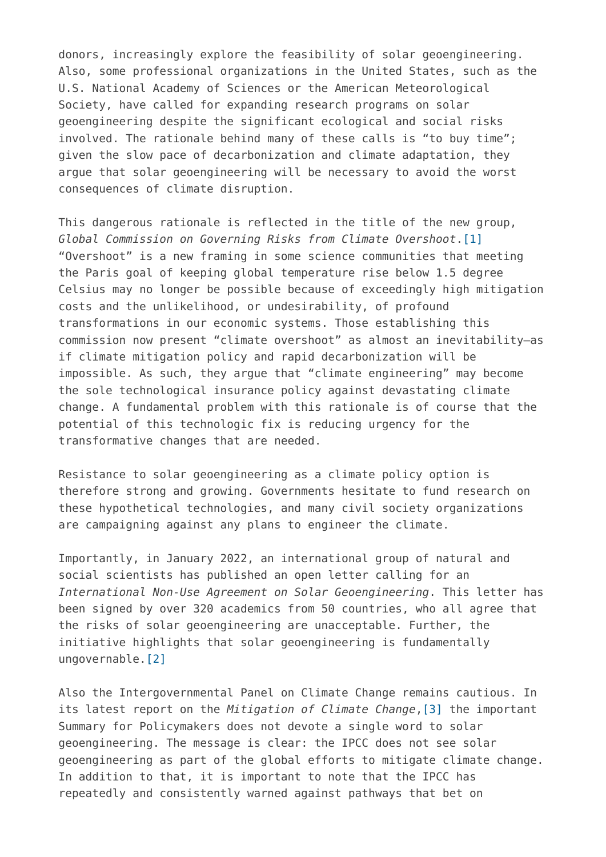donors, increasingly explore the feasibility of solar geoengineering. Also, some professional organizations in the United States, such as the U.S. National Academy of Sciences or the American Meteorological Society, have called for expanding research programs on solar geoengineering despite the significant ecological and social risks involved. The rationale behind many of these calls is "to buy time"; given the slow pace of decarbonization and climate adaptation, they argue that solar geoengineering will be necessary to avoid the worst consequences of climate disruption.

This dangerous rationale is reflected in the title of the new group, *Global Commission on Governing Risks from Climate Overshoot*.[\[1\]](#page--1-0) "Overshoot" is a new framing in some science communities that meeting the Paris goal of keeping global temperature rise below 1.5 degree Celsius may no longer be possible because of exceedingly high mitigation costs and the unlikelihood, or undesirability, of profound transformations in our economic systems. Those establishing this commission now present "climate overshoot" as almost an inevitability—as if climate mitigation policy and rapid decarbonization will be impossible. As such, they argue that "climate engineering" may become the sole technological insurance policy against devastating climate change. A fundamental problem with this rationale is of course that the potential of this technologic fix is reducing urgency for the transformative changes that are needed.

Resistance to solar geoengineering as a climate policy option is therefore strong and growing. Governments hesitate to fund research on these hypothetical technologies, and many civil society organizations are campaigning against any plans to engineer the climate.

Importantly, in January 2022, an international group of natural and social scientists has published an open letter calling for an *International Non-Use Agreement on Solar Geoengineering*. This letter has been signed by over 320 academics from 50 countries, who all agree that the risks of solar geoengineering are unacceptable. Further, the initiative highlights that solar geoengineering is fundamentally ungovernable.[\[2\]](#page--1-0)

Also the Intergovernmental Panel on Climate Change remains cautious. In its latest report on the *Mitigation of Climate Change*[,\[3\]](#page--1-0) the important Summary for Policymakers does not devote a single word to solar geoengineering. The message is clear: the IPCC does not see solar geoengineering as part of the global efforts to mitigate climate change. In addition to that, it is important to note that the IPCC has repeatedly and consistently warned against pathways that bet on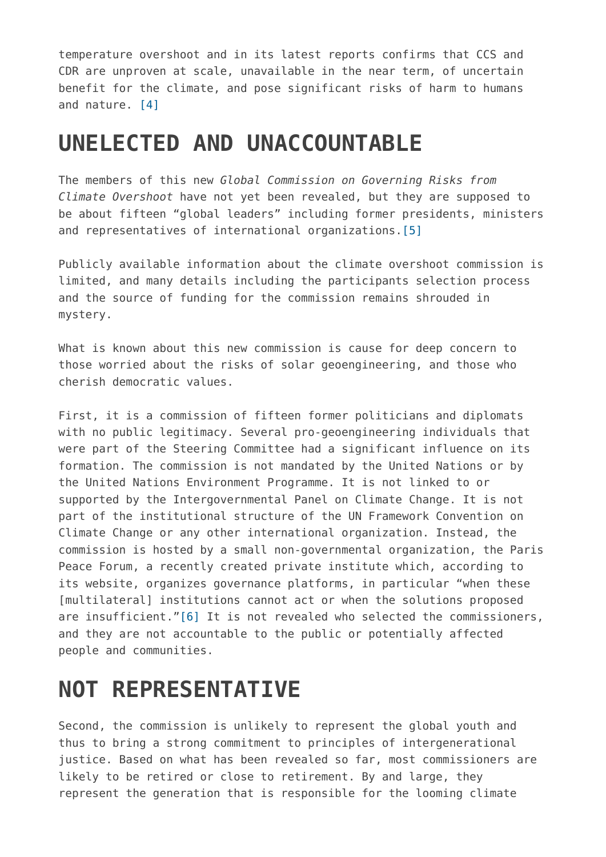temperature overshoot and in its latest reports confirms that CCS and CDR are unproven at scale, unavailable in the near term, of uncertain benefit for the climate, and pose significant risks of harm to humans and nature. [\[4\]](#page--1-0)

#### **UNELECTED AND UNACCOUNTABLE**

The members of this new *Global Commission on Governing Risks from Climate Overshoot* have not yet been revealed, but they are supposed to be about fifteen "global leaders" including former presidents, ministers and representatives of international organizations[.\[5\]](#page--1-0)

Publicly available information about the climate overshoot commission is limited, and many details including the participants selection process and the source of funding for the commission remains shrouded in mystery.

What is known about this new commission is cause for deep concern to those worried about the risks of solar geoengineering, and those who cherish democratic values.

First, it is a commission of fifteen former politicians and diplomats with no public legitimacy. Several pro-geoengineering individuals that were part of the Steering Committee had a significant influence on its formation. The commission is not mandated by the United Nations or by the United Nations Environment Programme. It is not linked to or supported by the Intergovernmental Panel on Climate Change. It is not part of the institutional structure of the UN Framework Convention on Climate Change or any other international organization. Instead, the commission is hosted by a small non-governmental organization, the Paris Peace Forum, a recently created private institute which, according to its website, organizes governance platforms, in particular "when these [multilateral] institutions cannot act or when the solutions proposed are insufficient."[\[6\]](#page--1-0) It is not revealed who selected the commissioners, and they are not accountable to the public or potentially affected people and communities.

# **NOT REPRESENTATIVE**

Second, the commission is unlikely to represent the global youth and thus to bring a strong commitment to principles of intergenerational justice. Based on what has been revealed so far, most commissioners are likely to be retired or close to retirement. By and large, they represent the generation that is responsible for the looming climate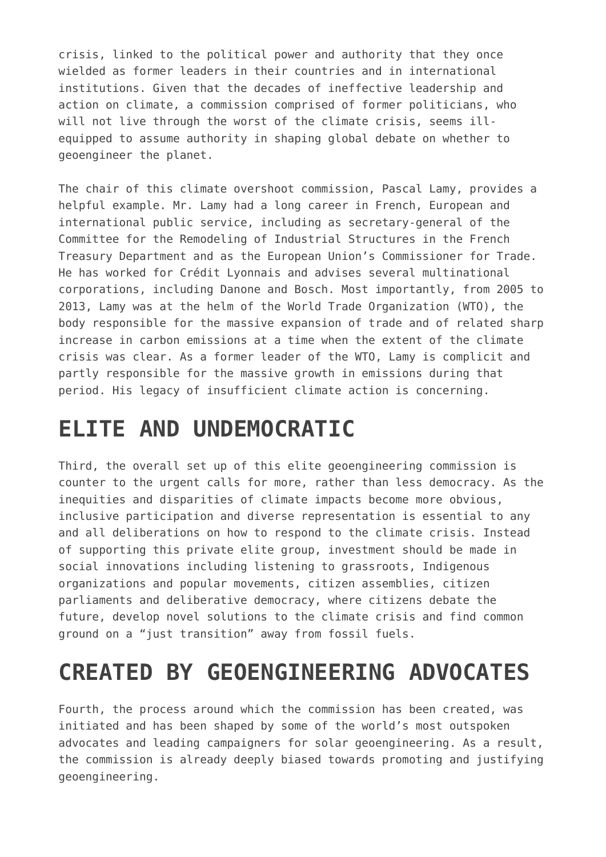crisis, linked to the political power and authority that they once wielded as former leaders in their countries and in international institutions. Given that the decades of ineffective leadership and action on climate, a commission comprised of former politicians, who will not live through the worst of the climate crisis, seems illequipped to assume authority in shaping global debate on whether to geoengineer the planet.

The chair of this climate overshoot commission, Pascal Lamy, provides a helpful example. Mr. Lamy had a long career in French, European and international public service, including as secretary-general of the Committee for the Remodeling of Industrial Structures in the French Treasury Department and as the European Union's Commissioner for Trade. He has worked for Crédit Lyonnais and advises several multinational corporations, including Danone and Bosch. Most importantly, from 2005 to 2013, Lamy was at the helm of the World Trade Organization (WTO), the body responsible for the massive expansion of trade and of related sharp increase in carbon emissions at a time when the extent of the climate crisis was clear. As a former leader of the WTO, Lamy is complicit and partly responsible for the massive growth in emissions during that period. His legacy of insufficient climate action is concerning.

# **ELITE AND UNDEMOCRATIC**

Third, the overall set up of this elite geoengineering commission is counter to the urgent calls for more, rather than less democracy. As the inequities and disparities of climate impacts become more obvious, inclusive participation and diverse representation is essential to any and all deliberations on how to respond to the climate crisis. Instead of supporting this private elite group, investment should be made in social innovations including listening to grassroots, Indigenous organizations and popular movements, citizen assemblies, citizen parliaments and deliberative democracy, where citizens debate the future, develop novel solutions to the climate crisis and find common ground on a "just transition" away from fossil fuels.

# **CREATED BY GEOENGINEERING ADVOCATES**

Fourth, the process around which the commission has been created, was initiated and has been shaped by some of the world's most outspoken advocates and leading campaigners for solar geoengineering. As a result, the commission is already deeply biased towards promoting and justifying geoengineering.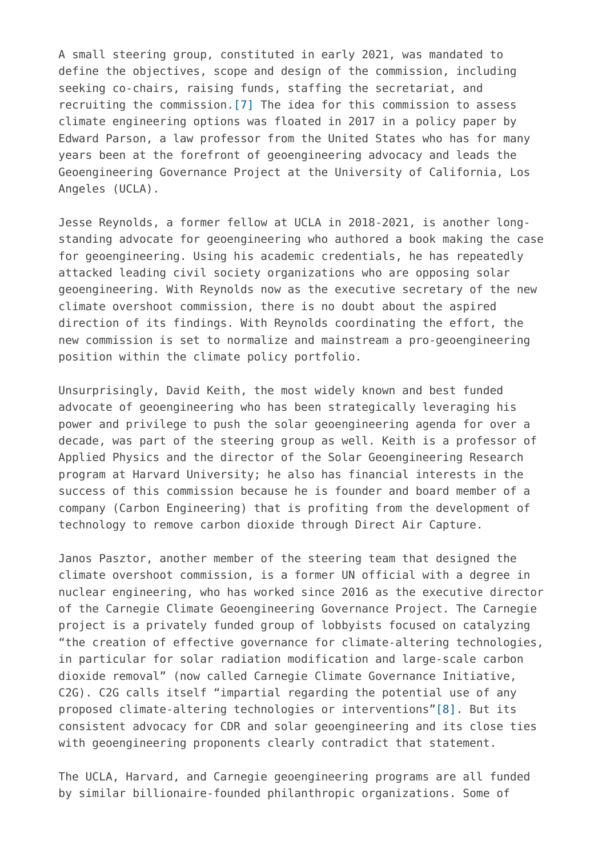A small steering group, constituted in early 2021, was mandated to define the objectives, scope and design of the commission, including seeking co-chairs, raising funds, staffing the secretariat, and recruiting the commission.[\[7\]](#page--1-0) The idea for this commission to assess climate engineering options was floated in 2017 in a policy paper by Edward Parson, a law professor from the United States who has for many years been at the forefront of geoengineering advocacy and leads the Geoengineering Governance Project at the University of California, Los Angeles (UCLA).

Jesse Reynolds, a former fellow at UCLA in 2018-2021, is another longstanding advocate for geoengineering who authored a book making the case for geoengineering. Using his academic credentials, he has repeatedly attacked leading civil society organizations who are opposing solar geoengineering. With Reynolds now as the executive secretary of the new climate overshoot commission, there is no doubt about the aspired direction of its findings. With Reynolds coordinating the effort, the new commission is set to normalize and mainstream a pro-geoengineering position within the climate policy portfolio.

Unsurprisingly, David Keith, the most widely known and best funded advocate of geoengineering who has been strategically leveraging his power and privilege to push the solar geoengineering agenda for over a decade, was part of the steering group as well. Keith is a professor of Applied Physics and the director of the Solar Geoengineering Research program at Harvard University; he also has financial interests in the success of this commission because he is founder and board member of a company (Carbon Engineering) that is profiting from the development of technology to remove carbon dioxide through Direct Air Capture.

Janos Pasztor, another member of the steering team that designed the climate overshoot commission, is a former UN official with a degree in nuclear engineering, who has worked since 2016 as the executive director of the Carnegie Climate Geoengineering Governance Project. The Carnegie project is a privately funded group of lobbyists focused on catalyzing "the creation of effective governance for climate-altering technologies, in particular for solar radiation modification and large-scale carbon dioxide removal" (now called Carnegie Climate Governance Initiative, C2G). C2G calls itself "impartial regarding the potential use of any proposed climate-altering technologies or interventions["\[8\]](#page--1-0). But its consistent advocacy for CDR and solar geoengineering and its close ties with geoengineering proponents clearly contradict that statement.

The UCLA, Harvard, and Carnegie geoengineering programs are all funded by similar billionaire-founded philanthropic organizations. Some of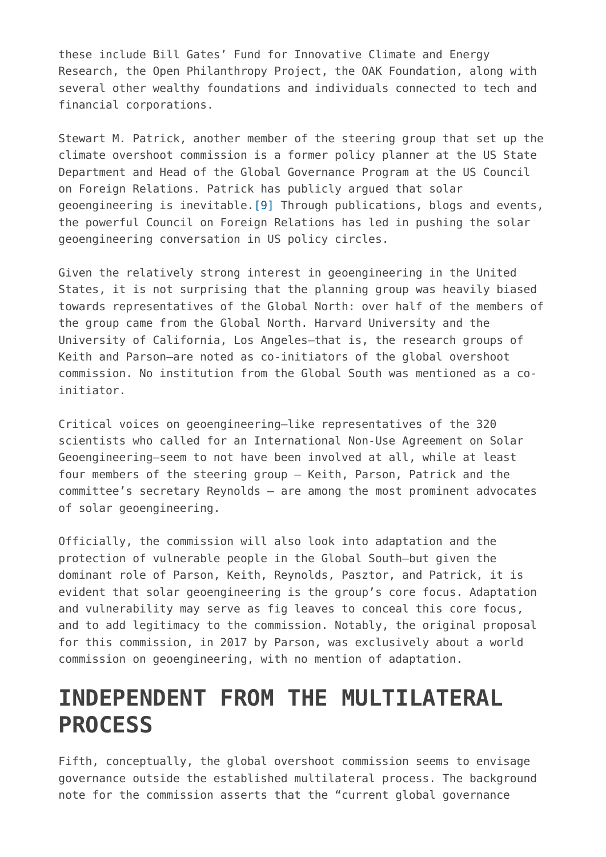these include Bill Gates' Fund for Innovative Climate and Energy Research, the Open Philanthropy Project, the OAK Foundation, along with several other wealthy foundations and individuals connected to tech and financial corporations.

Stewart M. Patrick, another member of the steering group that set up the climate overshoot commission is a former policy planner at the US State Department and Head of the Global Governance Program at the US Council on Foreign Relations. Patrick has publicly argued that solar geoengineering is inevitable.[\[9\]](#page--1-0) Through publications, blogs and events, the powerful Council on Foreign Relations has led in pushing the solar geoengineering conversation in US policy circles.

Given the relatively strong interest in geoengineering in the United States, it is not surprising that the planning group was heavily biased towards representatives of the Global North: over half of the members of the group came from the Global North. Harvard University and the University of California, Los Angeles—that is, the research groups of Keith and Parson—are noted as co-initiators of the global overshoot commission. No institution from the Global South was mentioned as a coinitiator.

Critical voices on geoengineering—like representatives of the 320 scientists who called for an International Non-Use Agreement on Solar Geoengineering—seem to not have been involved at all, while at least four members of the steering group – Keith, Parson, Patrick and the committee's secretary Reynolds – are among the most prominent advocates of solar geoengineering.

Officially, the commission will also look into adaptation and the protection of vulnerable people in the Global South—but given the dominant role of Parson, Keith, Reynolds, Pasztor, and Patrick, it is evident that solar geoengineering is the group's core focus. Adaptation and vulnerability may serve as fig leaves to conceal this core focus, and to add legitimacy to the commission. Notably, the original proposal for this commission, in 2017 by Parson, was exclusively about a world commission on geoengineering, with no mention of adaptation.

# **INDEPENDENT FROM THE MULTILATERAL PROCESS**

Fifth, conceptually, the global overshoot commission seems to envisage governance outside the established multilateral process. The background note for the commission asserts that the "current global governance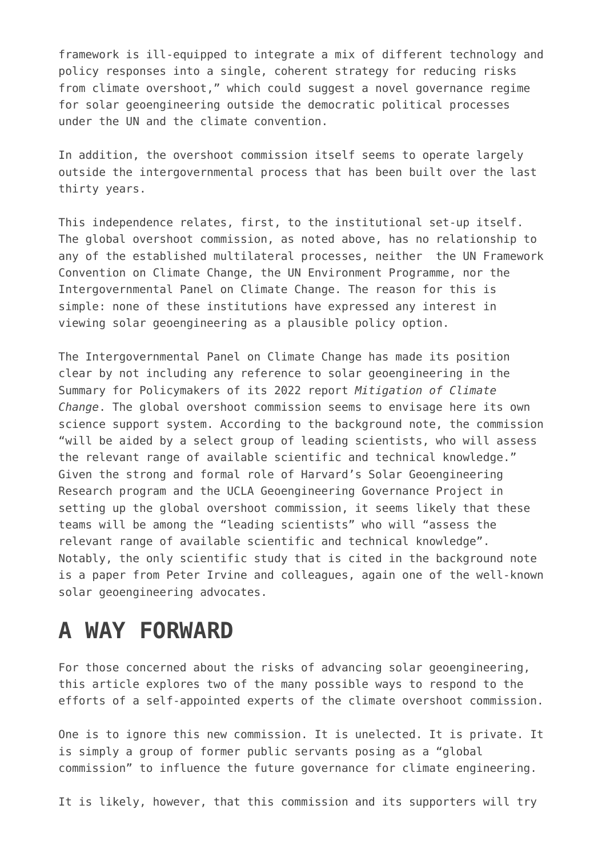framework is ill-equipped to integrate a mix of different technology and policy responses into a single, coherent strategy for reducing risks from climate overshoot," which could suggest a novel governance regime for solar geoengineering outside the democratic political processes under the UN and the climate convention.

In addition, the overshoot commission itself seems to operate largely outside the intergovernmental process that has been built over the last thirty years.

This independence relates, first, to the institutional set-up itself. The global overshoot commission, as noted above, has no relationship to any of the established multilateral processes, neither the UN Framework Convention on Climate Change, the UN Environment Programme, nor the Intergovernmental Panel on Climate Change. The reason for this is simple: none of these institutions have expressed any interest in viewing solar geoengineering as a plausible policy option.

The Intergovernmental Panel on Climate Change has made its position clear by not including any reference to solar geoengineering in the Summary for Policymakers of its 2022 report *Mitigation of Climate Change*. The global overshoot commission seems to envisage here its own science support system. According to the background note, the commission "will be aided by a select group of leading scientists, who will assess the relevant range of available scientific and technical knowledge." Given the strong and formal role of Harvard's Solar Geoengineering Research program and the UCLA Geoengineering Governance Project in setting up the global overshoot commission, it seems likely that these teams will be among the "leading scientists" who will "assess the relevant range of available scientific and technical knowledge". Notably, the only scientific study that is cited in the background note is a paper from Peter Irvine and colleagues, again one of the well-known solar geoengineering advocates.

#### **A WAY FORWARD**

For those concerned about the risks of advancing solar geoengineering, this article explores two of the many possible ways to respond to the efforts of a self-appointed experts of the climate overshoot commission.

One is to ignore this new commission. It is unelected. It is private. It is simply a group of former public servants posing as a "global commission" to influence the future governance for climate engineering.

It is likely, however, that this commission and its supporters will try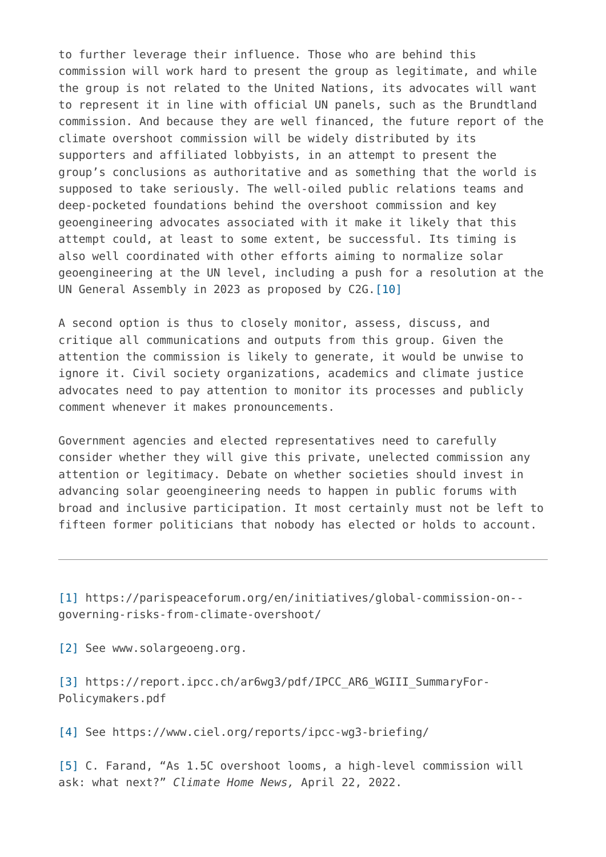to further leverage their influence. Those who are behind this commission will work hard to present the group as legitimate, and while the group is not related to the United Nations, its advocates will want to represent it in line with official UN panels, such as the Brundtland commission. And because they are well financed, the future report of the climate overshoot commission will be widely distributed by its supporters and affiliated lobbyists, in an attempt to present the group's conclusions as authoritative and as something that the world is supposed to take seriously. The well-oiled public relations teams and deep-pocketed foundations behind the overshoot commission and key geoengineering advocates associated with it make it likely that this attempt could, at least to some extent, be successful. Its timing is also well coordinated with other efforts aiming to normalize solar geoengineering at the UN level, including a push for a resolution at the UN General Assembly in 2023 as proposed by C2G.[\[10\]](#page--1-0)

A second option is thus to closely monitor, assess, discuss, and critique all communications and outputs from this group. Given the attention the commission is likely to generate, it would be unwise to ignore it. Civil society organizations, academics and climate justice advocates need to pay attention to monitor its processes and publicly comment whenever it makes pronouncements.

Government agencies and elected representatives need to carefully consider whether they will give this private, unelected commission any attention or legitimacy. Debate on whether societies should invest in advancing solar geoengineering needs to happen in public forums with broad and inclusive participation. It most certainly must not be left to fifteen former politicians that nobody has elected or holds to account.

[\[1\]](#page--1-0) https://parispeaceforum.org/en/initiatives/global-commission-on- governing-risks-from-climate-overshoot/

[\[2\]](#page--1-0) See www.solargeoeng.org.

[\[3\]](#page--1-0) https://report.ipcc.ch/ar6wg3/pdf/IPCC\_AR6\_WGIII\_SummaryFor-Policymakers.pdf

[\[4\]](#page--1-0) See https://www.ciel.org/reports/ipcc-wg3-briefing/

[\[5\]](#page--1-0) C. Farand, "As 1.5C overshoot looms, a high-level commission will ask: what next?" *Climate Home News,* April 22, 2022.